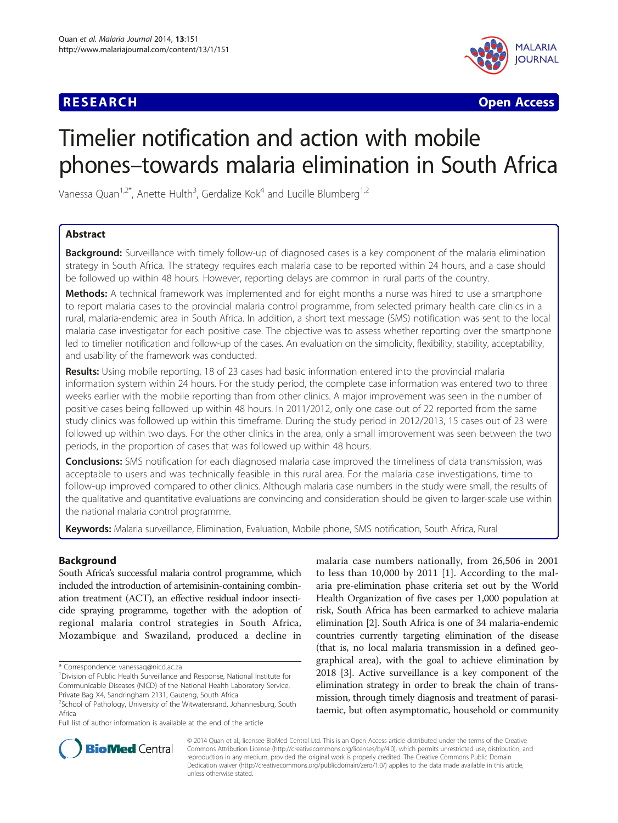# **RESEARCH CHE Open Access**



# Timelier notification and action with mobile phones–towards malaria elimination in South Africa

Vanessa Quan<sup>1,2\*</sup>, Anette Hulth<sup>3</sup>, Gerdalize Kok<sup>4</sup> and Lucille Blumberg<sup>1,2</sup>

# Abstract

**Background:** Surveillance with timely follow-up of diagnosed cases is a key component of the malaria elimination strategy in South Africa. The strategy requires each malaria case to be reported within 24 hours, and a case should be followed up within 48 hours. However, reporting delays are common in rural parts of the country.

Methods: A technical framework was implemented and for eight months a nurse was hired to use a smartphone to report malaria cases to the provincial malaria control programme, from selected primary health care clinics in a rural, malaria-endemic area in South Africa. In addition, a short text message (SMS) notification was sent to the local malaria case investigator for each positive case. The objective was to assess whether reporting over the smartphone led to timelier notification and follow-up of the cases. An evaluation on the simplicity, flexibility, stability, acceptability, and usability of the framework was conducted.

Results: Using mobile reporting, 18 of 23 cases had basic information entered into the provincial malaria information system within 24 hours. For the study period, the complete case information was entered two to three weeks earlier with the mobile reporting than from other clinics. A major improvement was seen in the number of positive cases being followed up within 48 hours. In 2011/2012, only one case out of 22 reported from the same study clinics was followed up within this timeframe. During the study period in 2012/2013, 15 cases out of 23 were followed up within two days. For the other clinics in the area, only a small improvement was seen between the two periods, in the proportion of cases that was followed up within 48 hours.

**Conclusions:** SMS notification for each diagnosed malaria case improved the timeliness of data transmission, was acceptable to users and was technically feasible in this rural area. For the malaria case investigations, time to follow-up improved compared to other clinics. Although malaria case numbers in the study were small, the results of the qualitative and quantitative evaluations are convincing and consideration should be given to larger-scale use within the national malaria control programme.

Keywords: Malaria surveillance, Elimination, Evaluation, Mobile phone, SMS notification, South Africa, Rural

# Background

South Africa's successful malaria control programme, which included the introduction of artemisinin-containing combination treatment (ACT), an effective residual indoor insecticide spraying programme, together with the adoption of regional malaria control strategies in South Africa, Mozambique and Swaziland, produced a decline in

malaria case numbers nationally, from 26,506 in 2001 to less than 10,000 by 2011 [\[1](#page-7-0)]. According to the malaria pre-elimination phase criteria set out by the World Health Organization of five cases per 1,000 population at risk, South Africa has been earmarked to achieve malaria elimination [\[2\]](#page-7-0). South Africa is one of 34 malaria-endemic countries currently targeting elimination of the disease (that is, no local malaria transmission in a defined geographical area), with the goal to achieve elimination by 2018 [\[3](#page-7-0)]. Active surveillance is a key component of the elimination strategy in order to break the chain of transmission, through timely diagnosis and treatment of parasitaemic, but often asymptomatic, household or community



© 2014 Quan et al.; licensee BioMed Central Ltd. This is an Open Access article distributed under the terms of the Creative Commons Attribution License [\(http://creativecommons.org/licenses/by/4.0\)](http://creativecommons.org/licenses/by/4.0), which permits unrestricted use, distribution, and reproduction in any medium, provided the original work is properly credited. The Creative Commons Public Domain Dedication waiver [\(http://creativecommons.org/publicdomain/zero/1.0/](http://creativecommons.org/publicdomain/zero/1.0/)) applies to the data made available in this article, unless otherwise stated.

<sup>\*</sup> Correspondence: [vanessaq@nicd.ac.za](mailto:vanessaq@nicd.ac.za) <sup>1</sup>

<sup>&</sup>lt;sup>1</sup> Division of Public Health Surveillance and Response, National Institute for Communicable Diseases (NICD) of the National Health Laboratory Service, Private Bag X4, Sandringham 2131, Gauteng, South Africa

<sup>&</sup>lt;sup>2</sup>School of Pathology, University of the Witwatersrand, Johannesburg, South Africa

Full list of author information is available at the end of the article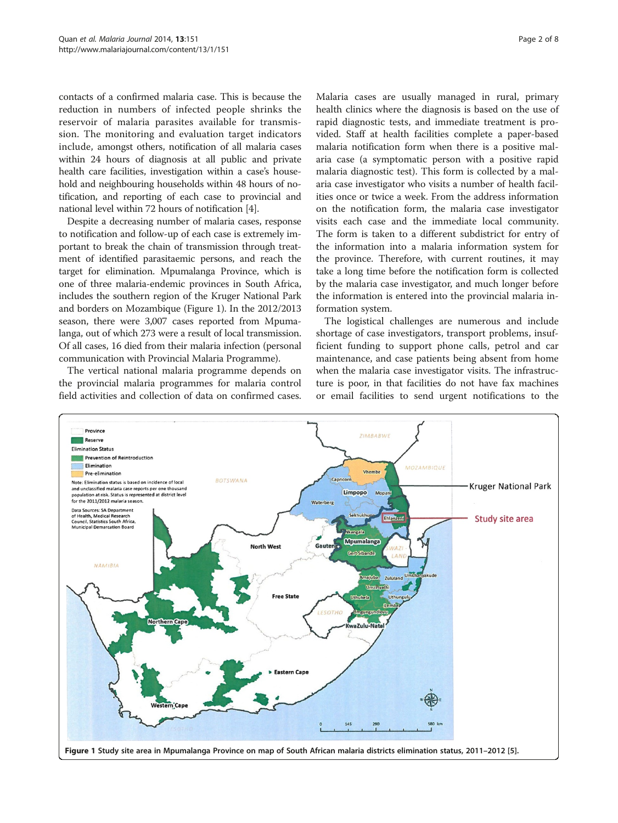contacts of a confirmed malaria case. This is because the reduction in numbers of infected people shrinks the reservoir of malaria parasites available for transmission. The monitoring and evaluation target indicators include, amongst others, notification of all malaria cases within 24 hours of diagnosis at all public and private health care facilities, investigation within a case's household and neighbouring households within 48 hours of notification, and reporting of each case to provincial and national level within 72 hours of notification [[4\]](#page-7-0).

Despite a decreasing number of malaria cases, response to notification and follow-up of each case is extremely important to break the chain of transmission through treatment of identified parasitaemic persons, and reach the target for elimination. Mpumalanga Province, which is one of three malaria-endemic provinces in South Africa, includes the southern region of the Kruger National Park and borders on Mozambique (Figure 1). In the 2012/2013 season, there were 3,007 cases reported from Mpumalanga, out of which 273 were a result of local transmission. Of all cases, 16 died from their malaria infection (personal communication with Provincial Malaria Programme).

The vertical national malaria programme depends on the provincial malaria programmes for malaria control field activities and collection of data on confirmed cases.

Malaria cases are usually managed in rural, primary health clinics where the diagnosis is based on the use of rapid diagnostic tests, and immediate treatment is provided. Staff at health facilities complete a paper-based malaria notification form when there is a positive malaria case (a symptomatic person with a positive rapid malaria diagnostic test). This form is collected by a malaria case investigator who visits a number of health facilities once or twice a week. From the address information on the notification form, the malaria case investigator visits each case and the immediate local community. The form is taken to a different subdistrict for entry of the information into a malaria information system for the province. Therefore, with current routines, it may take a long time before the notification form is collected by the malaria case investigator, and much longer before the information is entered into the provincial malaria information system.

The logistical challenges are numerous and include shortage of case investigators, transport problems, insufficient funding to support phone calls, petrol and car maintenance, and case patients being absent from home when the malaria case investigator visits. The infrastructure is poor, in that facilities do not have fax machines or email facilities to send urgent notifications to the

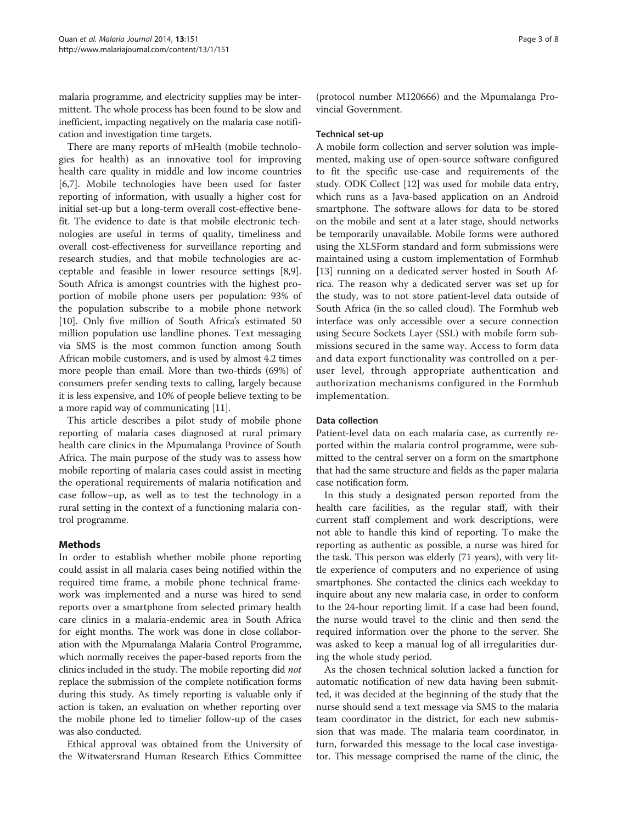malaria programme, and electricity supplies may be intermittent. The whole process has been found to be slow and inefficient, impacting negatively on the malaria case notification and investigation time targets.

There are many reports of mHealth (mobile technologies for health) as an innovative tool for improving health care quality in middle and low income countries [[6,7\]](#page-7-0). Mobile technologies have been used for faster reporting of information, with usually a higher cost for initial set-up but a long-term overall cost-effective benefit. The evidence to date is that mobile electronic technologies are useful in terms of quality, timeliness and overall cost-effectiveness for surveillance reporting and research studies, and that mobile technologies are acceptable and feasible in lower resource settings [\[8,9](#page-7-0)]. South Africa is amongst countries with the highest proportion of mobile phone users per population: 93% of the population subscribe to a mobile phone network [[10\]](#page-7-0). Only five million of South Africa's estimated 50 million population use landline phones. Text messaging via SMS is the most common function among South African mobile customers, and is used by almost 4.2 times more people than email. More than two-thirds (69%) of consumers prefer sending texts to calling, largely because it is less expensive, and 10% of people believe texting to be a more rapid way of communicating [\[11](#page-7-0)].

This article describes a pilot study of mobile phone reporting of malaria cases diagnosed at rural primary health care clinics in the Mpumalanga Province of South Africa. The main purpose of the study was to assess how mobile reporting of malaria cases could assist in meeting the operational requirements of malaria notification and case follow–up, as well as to test the technology in a rural setting in the context of a functioning malaria control programme.

# Methods

In order to establish whether mobile phone reporting could assist in all malaria cases being notified within the required time frame, a mobile phone technical framework was implemented and a nurse was hired to send reports over a smartphone from selected primary health care clinics in a malaria-endemic area in South Africa for eight months. The work was done in close collaboration with the Mpumalanga Malaria Control Programme, which normally receives the paper-based reports from the clinics included in the study. The mobile reporting did not replace the submission of the complete notification forms during this study. As timely reporting is valuable only if action is taken, an evaluation on whether reporting over the mobile phone led to timelier follow-up of the cases was also conducted.

Ethical approval was obtained from the University of the Witwatersrand Human Research Ethics Committee

(protocol number M120666) and the Mpumalanga Provincial Government.

#### Technical set-up

A mobile form collection and server solution was implemented, making use of open-source software configured to fit the specific use-case and requirements of the study. ODK Collect [\[12\]](#page-7-0) was used for mobile data entry, which runs as a Java-based application on an Android smartphone. The software allows for data to be stored on the mobile and sent at a later stage, should networks be temporarily unavailable. Mobile forms were authored using the XLSForm standard and form submissions were maintained using a custom implementation of Formhub [[13\]](#page-7-0) running on a dedicated server hosted in South Africa. The reason why a dedicated server was set up for the study, was to not store patient-level data outside of South Africa (in the so called cloud). The Formhub web interface was only accessible over a secure connection using Secure Sockets Layer (SSL) with mobile form submissions secured in the same way. Access to form data and data export functionality was controlled on a peruser level, through appropriate authentication and authorization mechanisms configured in the Formhub implementation.

#### Data collection

Patient-level data on each malaria case, as currently reported within the malaria control programme, were submitted to the central server on a form on the smartphone that had the same structure and fields as the paper malaria case notification form.

In this study a designated person reported from the health care facilities, as the regular staff, with their current staff complement and work descriptions, were not able to handle this kind of reporting. To make the reporting as authentic as possible, a nurse was hired for the task. This person was elderly (71 years), with very little experience of computers and no experience of using smartphones. She contacted the clinics each weekday to inquire about any new malaria case, in order to conform to the 24-hour reporting limit. If a case had been found, the nurse would travel to the clinic and then send the required information over the phone to the server. She was asked to keep a manual log of all irregularities during the whole study period.

As the chosen technical solution lacked a function for automatic notification of new data having been submitted, it was decided at the beginning of the study that the nurse should send a text message via SMS to the malaria team coordinator in the district, for each new submission that was made. The malaria team coordinator, in turn, forwarded this message to the local case investigator. This message comprised the name of the clinic, the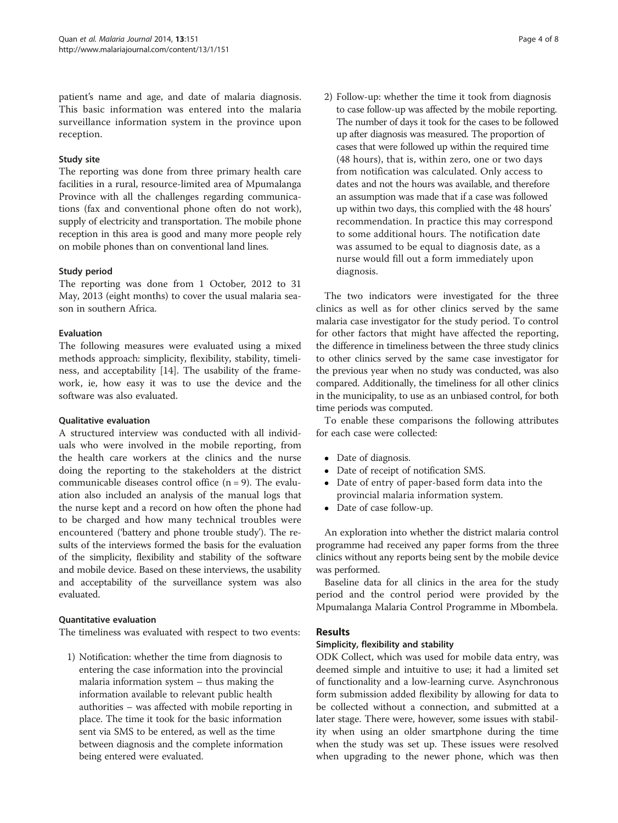patient's name and age, and date of malaria diagnosis. This basic information was entered into the malaria surveillance information system in the province upon reception.

#### Study site

The reporting was done from three primary health care facilities in a rural, resource-limited area of Mpumalanga Province with all the challenges regarding communications (fax and conventional phone often do not work), supply of electricity and transportation. The mobile phone reception in this area is good and many more people rely on mobile phones than on conventional land lines.

# Study period

The reporting was done from 1 October, 2012 to 31 May, 2013 (eight months) to cover the usual malaria season in southern Africa.

# Evaluation

The following measures were evaluated using a mixed methods approach: simplicity, flexibility, stability, timeliness, and acceptability [\[14](#page-7-0)]. The usability of the framework, ie, how easy it was to use the device and the software was also evaluated.

# Qualitative evaluation

A structured interview was conducted with all individuals who were involved in the mobile reporting, from the health care workers at the clinics and the nurse doing the reporting to the stakeholders at the district communicable diseases control office  $(n = 9)$ . The evaluation also included an analysis of the manual logs that the nurse kept and a record on how often the phone had to be charged and how many technical troubles were encountered ('battery and phone trouble study'). The results of the interviews formed the basis for the evaluation of the simplicity, flexibility and stability of the software and mobile device. Based on these interviews, the usability and acceptability of the surveillance system was also evaluated.

# Quantitative evaluation

The timeliness was evaluated with respect to two events:

1) Notification: whether the time from diagnosis to entering the case information into the provincial malaria information system – thus making the information available to relevant public health authorities – was affected with mobile reporting in place. The time it took for the basic information sent via SMS to be entered, as well as the time between diagnosis and the complete information being entered were evaluated.

2) Follow-up: whether the time it took from diagnosis to case follow-up was affected by the mobile reporting. The number of days it took for the cases to be followed up after diagnosis was measured. The proportion of cases that were followed up within the required time (48 hours), that is, within zero, one or two days from notification was calculated. Only access to dates and not the hours was available, and therefore an assumption was made that if a case was followed up within two days, this complied with the 48 hours' recommendation. In practice this may correspond to some additional hours. The notification date was assumed to be equal to diagnosis date, as a nurse would fill out a form immediately upon diagnosis.

The two indicators were investigated for the three clinics as well as for other clinics served by the same malaria case investigator for the study period. To control for other factors that might have affected the reporting, the difference in timeliness between the three study clinics to other clinics served by the same case investigator for the previous year when no study was conducted, was also compared. Additionally, the timeliness for all other clinics in the municipality, to use as an unbiased control, for both time periods was computed.

To enable these comparisons the following attributes for each case were collected:

- Date of diagnosis.
- Date of receipt of notification SMS.<br>• Date of entry of paper-based form
- Date of entry of paper-based form data into the provincial malaria information system.
- Date of case follow-up.

An exploration into whether the district malaria control programme had received any paper forms from the three clinics without any reports being sent by the mobile device was performed.

Baseline data for all clinics in the area for the study period and the control period were provided by the Mpumalanga Malaria Control Programme in Mbombela.

# Results

# Simplicity, flexibility and stability

ODK Collect, which was used for mobile data entry, was deemed simple and intuitive to use; it had a limited set of functionality and a low-learning curve. Asynchronous form submission added flexibility by allowing for data to be collected without a connection, and submitted at a later stage. There were, however, some issues with stability when using an older smartphone during the time when the study was set up. These issues were resolved when upgrading to the newer phone, which was then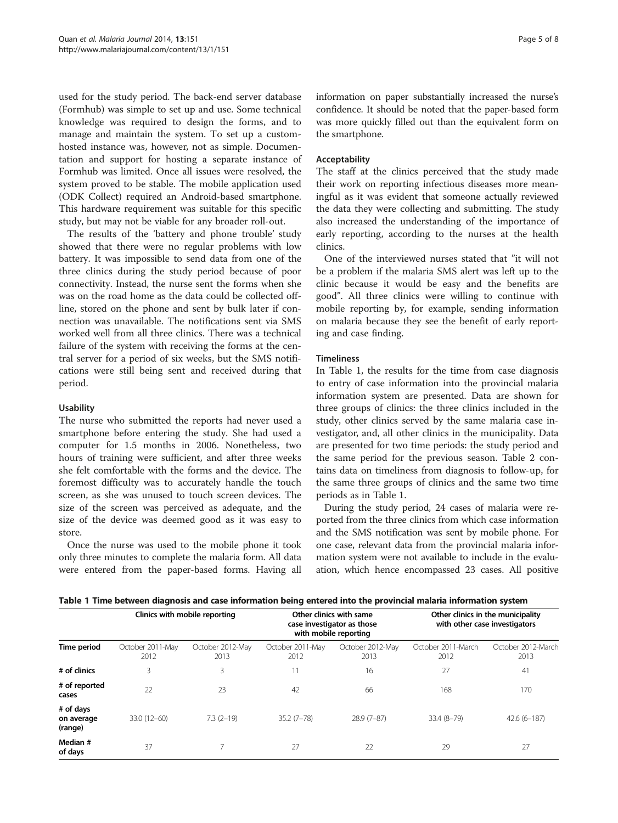<span id="page-4-0"></span>used for the study period. The back-end server database (Formhub) was simple to set up and use. Some technical knowledge was required to design the forms, and to manage and maintain the system. To set up a customhosted instance was, however, not as simple. Documentation and support for hosting a separate instance of Formhub was limited. Once all issues were resolved, the system proved to be stable. The mobile application used (ODK Collect) required an Android-based smartphone. This hardware requirement was suitable for this specific study, but may not be viable for any broader roll-out.

The results of the 'battery and phone trouble' study showed that there were no regular problems with low battery. It was impossible to send data from one of the three clinics during the study period because of poor connectivity. Instead, the nurse sent the forms when she was on the road home as the data could be collected offline, stored on the phone and sent by bulk later if connection was unavailable. The notifications sent via SMS worked well from all three clinics. There was a technical failure of the system with receiving the forms at the central server for a period of six weeks, but the SMS notifications were still being sent and received during that period.

# **Usability**

The nurse who submitted the reports had never used a smartphone before entering the study. She had used a computer for 1.5 months in 2006. Nonetheless, two hours of training were sufficient, and after three weeks she felt comfortable with the forms and the device. The foremost difficulty was to accurately handle the touch screen, as she was unused to touch screen devices. The size of the screen was perceived as adequate, and the size of the device was deemed good as it was easy to store.

Once the nurse was used to the mobile phone it took only three minutes to complete the malaria form. All data were entered from the paper-based forms. Having all information on paper substantially increased the nurse's confidence. It should be noted that the paper-based form was more quickly filled out than the equivalent form on the smartphone.

#### Acceptability

The staff at the clinics perceived that the study made their work on reporting infectious diseases more meaningful as it was evident that someone actually reviewed the data they were collecting and submitting. The study also increased the understanding of the importance of early reporting, according to the nurses at the health clinics.

One of the interviewed nurses stated that "it will not be a problem if the malaria SMS alert was left up to the clinic because it would be easy and the benefits are good". All three clinics were willing to continue with mobile reporting by, for example, sending information on malaria because they see the benefit of early reporting and case finding.

#### **Timeliness**

In Table 1, the results for the time from case diagnosis to entry of case information into the provincial malaria information system are presented. Data are shown for three groups of clinics: the three clinics included in the study, other clinics served by the same malaria case investigator, and, all other clinics in the municipality. Data are presented for two time periods: the study period and the same period for the previous season. Table [2](#page-5-0) contains data on timeliness from diagnosis to follow-up, for the same three groups of clinics and the same two time periods as in Table 1.

During the study period, 24 cases of malaria were reported from the three clinics from which case information and the SMS notification was sent by mobile phone. For one case, relevant data from the provincial malaria information system were not available to include in the evaluation, which hence encompassed 23 cases. All positive

|  |  |  |  |  |  |  | Table 1 Time between diagnosis and case information being entered into the provincial malaria information system |
|--|--|--|--|--|--|--|------------------------------------------------------------------------------------------------------------------|
|--|--|--|--|--|--|--|------------------------------------------------------------------------------------------------------------------|

| Time period                        |                          | Clinics with mobile reporting |                          | Other clinics with same<br>case investigator as those<br>with mobile reporting | Other clinics in the municipality<br>with other case investigators |                            |
|------------------------------------|--------------------------|-------------------------------|--------------------------|--------------------------------------------------------------------------------|--------------------------------------------------------------------|----------------------------|
|                                    | October 2011-May<br>2012 | October 2012-May<br>2013      | October 2011-May<br>2012 | October 2012-May<br>2013                                                       | October 2011-March<br>2012                                         | October 2012-March<br>2013 |
| # of clinics                       | 3                        | 3                             | 11                       | 16                                                                             | 27                                                                 | 41                         |
| # of reported<br>cases             | 22                       | 23                            | 42                       | 66                                                                             | 168                                                                | 170                        |
| # of days<br>on average<br>(range) | 33.0 (12-60)             | $7.3(2-19)$                   | $35.2(7 - 78)$           | $28.9(7-87)$                                                                   | $33.4(8-79)$                                                       | $42.6(6 - 187)$            |
| Median #<br>of days                | 37                       |                               | 27                       | 22                                                                             | 29                                                                 | 27                         |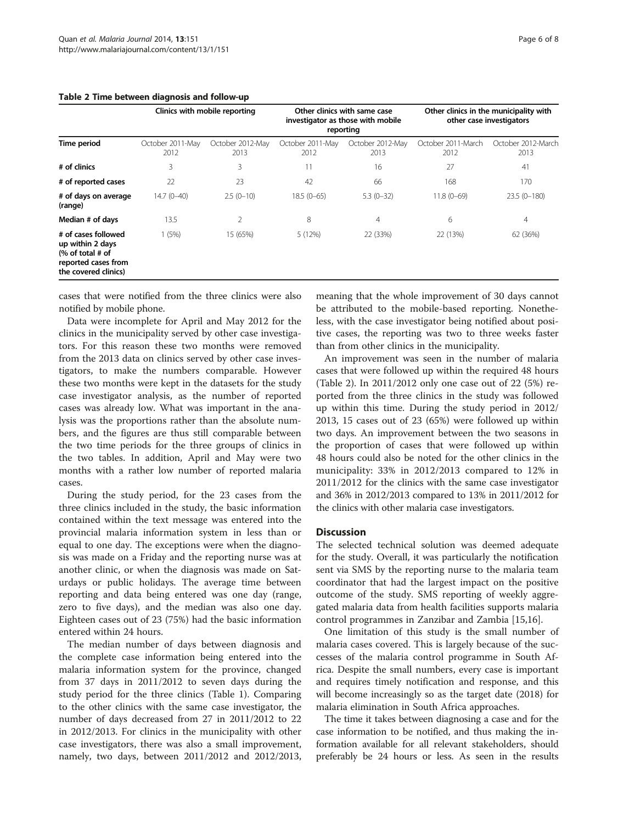|                                                                                                             | Clinics with mobile reporting |                          | Other clinics with same case<br>investigator as those with mobile<br>reporting |                          | Other clinics in the municipality with<br>other case investigators |                            |
|-------------------------------------------------------------------------------------------------------------|-------------------------------|--------------------------|--------------------------------------------------------------------------------|--------------------------|--------------------------------------------------------------------|----------------------------|
| Time period                                                                                                 | October 2011-May<br>2012      | October 2012-May<br>2013 | October 2011-May<br>2012                                                       | October 2012-May<br>2013 | October 2011-March<br>2012                                         | October 2012-March<br>2013 |
| # of clinics                                                                                                | 3                             | 3                        | 11                                                                             | 16                       | 27                                                                 | 41                         |
| # of reported cases                                                                                         | 22                            | 23                       | 42                                                                             | 66                       | 168                                                                | 170                        |
| # of days on average<br>(range)                                                                             | $14.7(0 - 40)$                | $2.5(0-10)$              | $18.5(0-65)$                                                                   | $5.3(0-32)$              | $11.8(0-69)$                                                       | $23.5(0-180)$              |
| Median # of days                                                                                            | 13.5                          | $\overline{2}$           | 8                                                                              | $\overline{4}$           | 6                                                                  | $\overline{4}$             |
| # of cases followed<br>up within 2 days<br>$%$ of total # of<br>reported cases from<br>the covered clinics) | 1(5%)                         | 15 (65%)                 | 5 (12%)                                                                        | 22 (33%)                 | 22 (13%)                                                           | 62 (36%)                   |

<span id="page-5-0"></span>

| Table 2 Time between diagnosis and follow-up |  |  |
|----------------------------------------------|--|--|
|----------------------------------------------|--|--|

cases that were notified from the three clinics were also notified by mobile phone.

Data were incomplete for April and May 2012 for the clinics in the municipality served by other case investigators. For this reason these two months were removed from the 2013 data on clinics served by other case investigators, to make the numbers comparable. However these two months were kept in the datasets for the study case investigator analysis, as the number of reported cases was already low. What was important in the analysis was the proportions rather than the absolute numbers, and the figures are thus still comparable between the two time periods for the three groups of clinics in the two tables. In addition, April and May were two months with a rather low number of reported malaria cases.

During the study period, for the 23 cases from the three clinics included in the study, the basic information contained within the text message was entered into the provincial malaria information system in less than or equal to one day. The exceptions were when the diagnosis was made on a Friday and the reporting nurse was at another clinic, or when the diagnosis was made on Saturdays or public holidays. The average time between reporting and data being entered was one day (range, zero to five days), and the median was also one day. Eighteen cases out of 23 (75%) had the basic information entered within 24 hours.

The median number of days between diagnosis and the complete case information being entered into the malaria information system for the province, changed from 37 days in 2011/2012 to seven days during the study period for the three clinics (Table [1](#page-4-0)). Comparing to the other clinics with the same case investigator, the number of days decreased from 27 in 2011/2012 to 22 in 2012/2013. For clinics in the municipality with other case investigators, there was also a small improvement, namely, two days, between 2011/2012 and 2012/2013,

meaning that the whole improvement of 30 days cannot be attributed to the mobile-based reporting. Nonetheless, with the case investigator being notified about positive cases, the reporting was two to three weeks faster than from other clinics in the municipality.

An improvement was seen in the number of malaria cases that were followed up within the required 48 hours (Table 2). In 2011/2012 only one case out of 22 (5%) reported from the three clinics in the study was followed up within this time. During the study period in 2012/ 2013, 15 cases out of 23 (65%) were followed up within two days. An improvement between the two seasons in the proportion of cases that were followed up within 48 hours could also be noted for the other clinics in the municipality: 33% in 2012/2013 compared to 12% in 2011/2012 for the clinics with the same case investigator and 36% in 2012/2013 compared to 13% in 2011/2012 for the clinics with other malaria case investigators.

#### **Discussion**

The selected technical solution was deemed adequate for the study. Overall, it was particularly the notification sent via SMS by the reporting nurse to the malaria team coordinator that had the largest impact on the positive outcome of the study. SMS reporting of weekly aggregated malaria data from health facilities supports malaria control programmes in Zanzibar and Zambia [[15,16](#page-7-0)].

One limitation of this study is the small number of malaria cases covered. This is largely because of the successes of the malaria control programme in South Africa. Despite the small numbers, every case is important and requires timely notification and response, and this will become increasingly so as the target date (2018) for malaria elimination in South Africa approaches.

The time it takes between diagnosing a case and for the case information to be notified, and thus making the information available for all relevant stakeholders, should preferably be 24 hours or less. As seen in the results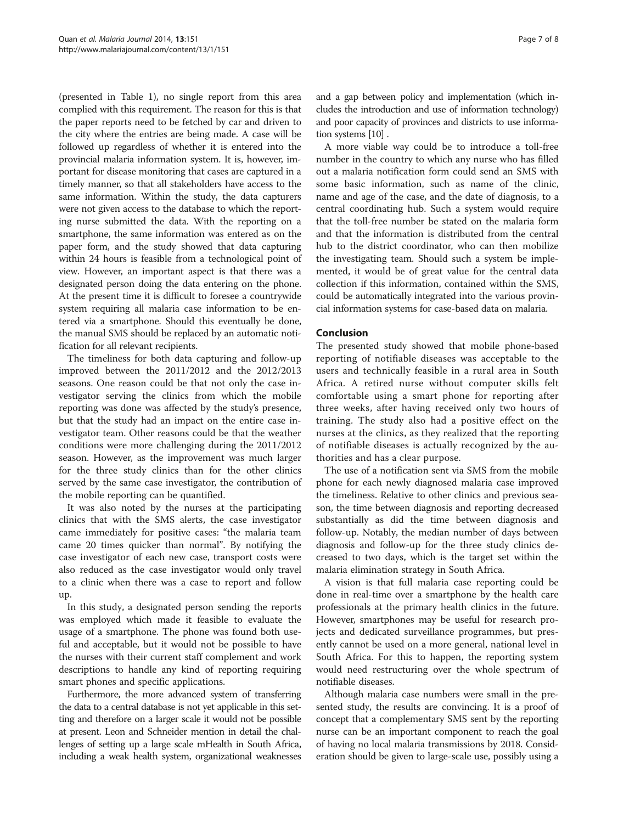(presented in Table [1\)](#page-4-0), no single report from this area complied with this requirement. The reason for this is that the paper reports need to be fetched by car and driven to the city where the entries are being made. A case will be followed up regardless of whether it is entered into the provincial malaria information system. It is, however, important for disease monitoring that cases are captured in a timely manner, so that all stakeholders have access to the same information. Within the study, the data capturers were not given access to the database to which the reporting nurse submitted the data. With the reporting on a smartphone, the same information was entered as on the paper form, and the study showed that data capturing within 24 hours is feasible from a technological point of view. However, an important aspect is that there was a designated person doing the data entering on the phone. At the present time it is difficult to foresee a countrywide system requiring all malaria case information to be entered via a smartphone. Should this eventually be done, the manual SMS should be replaced by an automatic notification for all relevant recipients.

The timeliness for both data capturing and follow-up improved between the 2011/2012 and the 2012/2013 seasons. One reason could be that not only the case investigator serving the clinics from which the mobile reporting was done was affected by the study's presence, but that the study had an impact on the entire case investigator team. Other reasons could be that the weather conditions were more challenging during the 2011/2012 season. However, as the improvement was much larger for the three study clinics than for the other clinics served by the same case investigator, the contribution of the mobile reporting can be quantified.

It was also noted by the nurses at the participating clinics that with the SMS alerts, the case investigator came immediately for positive cases: "the malaria team came 20 times quicker than normal". By notifying the case investigator of each new case, transport costs were also reduced as the case investigator would only travel to a clinic when there was a case to report and follow up.

In this study, a designated person sending the reports was employed which made it feasible to evaluate the usage of a smartphone. The phone was found both useful and acceptable, but it would not be possible to have the nurses with their current staff complement and work descriptions to handle any kind of reporting requiring smart phones and specific applications.

Furthermore, the more advanced system of transferring the data to a central database is not yet applicable in this setting and therefore on a larger scale it would not be possible at present. Leon and Schneider mention in detail the challenges of setting up a large scale mHealth in South Africa, including a weak health system, organizational weaknesses and a gap between policy and implementation (which includes the introduction and use of information technology) and poor capacity of provinces and districts to use information systems [\[10](#page-7-0)] .

A more viable way could be to introduce a toll-free number in the country to which any nurse who has filled out a malaria notification form could send an SMS with some basic information, such as name of the clinic, name and age of the case, and the date of diagnosis, to a central coordinating hub. Such a system would require that the toll-free number be stated on the malaria form and that the information is distributed from the central hub to the district coordinator, who can then mobilize the investigating team. Should such a system be implemented, it would be of great value for the central data collection if this information, contained within the SMS, could be automatically integrated into the various provincial information systems for case-based data on malaria.

#### Conclusion

The presented study showed that mobile phone-based reporting of notifiable diseases was acceptable to the users and technically feasible in a rural area in South Africa. A retired nurse without computer skills felt comfortable using a smart phone for reporting after three weeks, after having received only two hours of training. The study also had a positive effect on the nurses at the clinics, as they realized that the reporting of notifiable diseases is actually recognized by the authorities and has a clear purpose.

The use of a notification sent via SMS from the mobile phone for each newly diagnosed malaria case improved the timeliness. Relative to other clinics and previous season, the time between diagnosis and reporting decreased substantially as did the time between diagnosis and follow-up. Notably, the median number of days between diagnosis and follow-up for the three study clinics decreased to two days, which is the target set within the malaria elimination strategy in South Africa.

A vision is that full malaria case reporting could be done in real-time over a smartphone by the health care professionals at the primary health clinics in the future. However, smartphones may be useful for research projects and dedicated surveillance programmes, but presently cannot be used on a more general, national level in South Africa. For this to happen, the reporting system would need restructuring over the whole spectrum of notifiable diseases.

Although malaria case numbers were small in the presented study, the results are convincing. It is a proof of concept that a complementary SMS sent by the reporting nurse can be an important component to reach the goal of having no local malaria transmissions by 2018. Consideration should be given to large-scale use, possibly using a